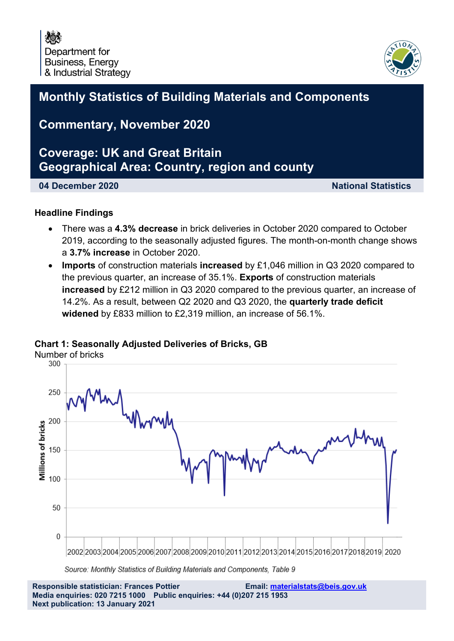

### **Monthly Statistics of Building Materials and Components**

### **Commentary, November 2020**

### **Coverage: UK and Great Britain Geographical Area: Country, region and county**

**04 December 2020 National Statistics**

#### **Headline Findings**

- There was a **4.3% decrease** in brick deliveries in October 2020 compared to October 2019, according to the seasonally adjusted figures. The month-on-month change shows a **3.7% increase** in October 2020.
- **Imports** of construction materials **increased** by £1,046 million in Q3 2020 compared to the previous quarter, an increase of 35.1%. **Exports** of construction materials **increased** by £212 million in Q3 2020 compared to the previous quarter, an increase of 14.2%. As a result, between Q2 2020 and Q3 2020, the **quarterly trade deficit widened** by £833 million to £2,319 million, an increase of 56.1%.

# Number of bricks 250 200 Millions of bricks 150 100 50  $\mathbf 0$ 2002 2003 2004 2005 2006 2007 2008 2009 2010 2011 2012 2013 2014 2015 2016 2017 2018 2019 2020

#### **Chart 1: Seasonally Adjusted Deliveries of Bricks, GB**

Source: Monthly Statistics of Building Materials and Components, Table 9

**Responsible statistician: Frances Pottier Email: materialstats@beis.gov.uk Media enquiries: 020 7215 1000 Public enquiries: +44 (0)207 215 1953 Next publication: 13 January 2021**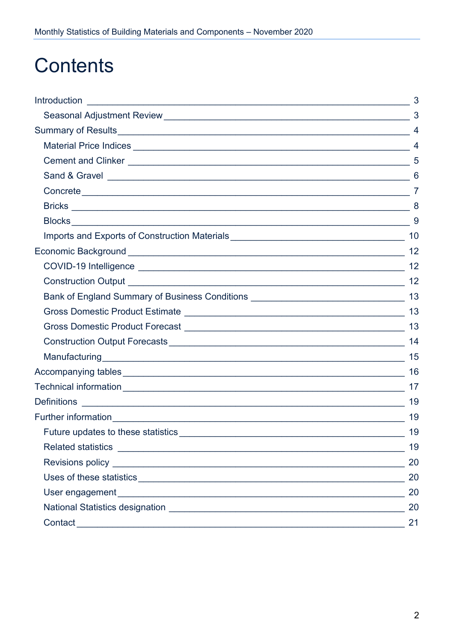## **Contents**

|                                                                                     | 3              |
|-------------------------------------------------------------------------------------|----------------|
|                                                                                     | $\mathbf{3}$   |
|                                                                                     | $\overline{4}$ |
|                                                                                     |                |
|                                                                                     |                |
|                                                                                     | 6              |
|                                                                                     |                |
|                                                                                     |                |
|                                                                                     | 9              |
|                                                                                     |                |
|                                                                                     |                |
|                                                                                     | 12             |
|                                                                                     |                |
| Bank of England Summary of Business Conditions _________________________________ 13 |                |
|                                                                                     | 13             |
|                                                                                     | -13            |
|                                                                                     |                |
|                                                                                     | 15             |
|                                                                                     | 16             |
|                                                                                     | -17            |
|                                                                                     | -19            |
|                                                                                     | 19             |
| Future updates to these statistics                                                  | 19             |
|                                                                                     | 19             |
|                                                                                     | 20             |
|                                                                                     | 20             |
|                                                                                     | 20             |
|                                                                                     | 20             |
| Contact<br><u> 1989 - Johann John Stein, marwolaethau (b. 1989)</u>                 | 21             |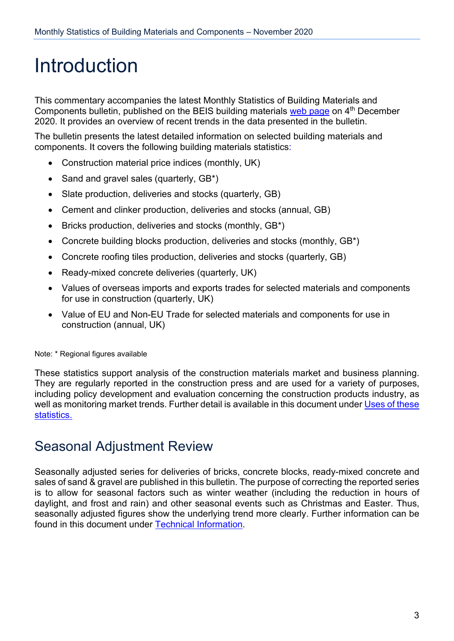## <span id="page-2-0"></span>Introduction

This commentary accompanies the latest Monthly Statistics of Building Materials and Components bulletin, published on the BEIS building materials [web page](https://www.gov.uk/government/organisations/department-for-business-innovation-skills/series/building-materials-and-components-monthly-statistics-2012) on 4<sup>th</sup> December 2020. It provides an overview of recent trends in the data presented in the bulletin.

The bulletin presents the latest detailed information on selected building materials and components. It covers the following building materials statistics:

- Construction material price indices (monthly, UK)
- Sand and gravel sales (quarterly, GB\*)
- Slate production, deliveries and stocks (quarterly, GB)
- Cement and clinker production, deliveries and stocks (annual, GB)
- Bricks production, deliveries and stocks (monthly, GB\*)
- Concrete building blocks production, deliveries and stocks (monthly, GB\*)
- Concrete roofing tiles production, deliveries and stocks (quarterly, GB)
- Ready-mixed concrete deliveries (quarterly, UK)
- Values of overseas imports and exports trades for selected materials and components for use in construction (quarterly, UK)
- Value of EU and Non-EU Trade for selected materials and components for use in construction (annual, UK)

Note: \* Regional figures available

These statistics support analysis of the construction materials market and business planning. They are regularly reported in the construction press and are used for a variety of purposes, including policy development and evaluation concerning the construction products industry, as well as monitoring market trends. Further detail is available in this document under Uses of these [statistics.](#page-19-1)

### <span id="page-2-1"></span>Seasonal Adjustment Review

Seasonally adjusted series for deliveries of bricks, concrete blocks, ready-mixed concrete and sales of sand & gravel are published in this bulletin. The purpose of correcting the reported series is to allow for seasonal factors such as winter weather (including the reduction in hours of daylight, and frost and rain) and other seasonal events such as Christmas and Easter. Thus, seasonally adjusted figures show the underlying trend more clearly. Further information can be found in this document under [Technical Information.](#page-16-0)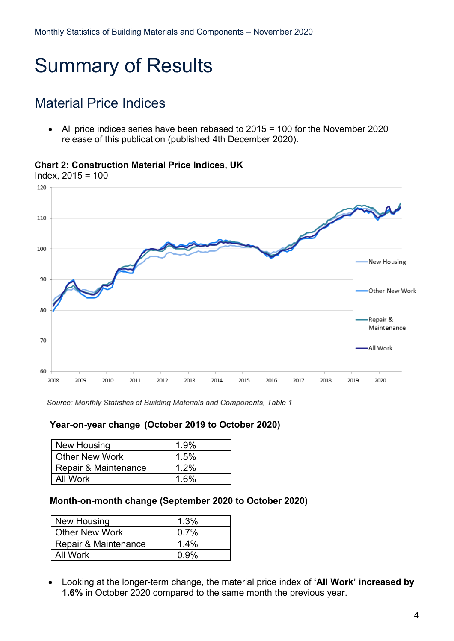# <span id="page-3-0"></span>Summary of Results

### <span id="page-3-1"></span>Material Price Indices

• All price indices series have been rebased to 2015 = 100 for the November 2020 release of this publication (published 4th December 2020).

#### **Chart 2: Construction Material Price Indices, UK**

Index, 2015 = 100



Source: Monthly Statistics of Building Materials and Components, Table 1

#### **Year-on-year change (October 2019 to October 2020)**

| New Housing           | 1.9%    |
|-----------------------|---------|
| <b>Other New Work</b> | 1.5%    |
| Repair & Maintenance  | $1.2\%$ |
| All Work              | 1.6%    |

#### **Month-on-month change (September 2020 to October 2020)**

| New Housing           | 1.3%    |
|-----------------------|---------|
| <b>Other New Work</b> | $0.7\%$ |
| Repair & Maintenance  | $1.4\%$ |
| All Work              | በ 9%    |

• Looking at the longer-term change, the material price index of **'All Work' increased by 1.6%** in October 2020 compared to the same month the previous year.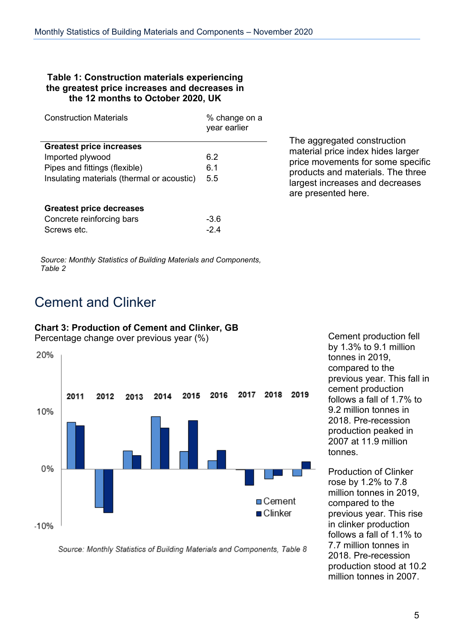#### **Table 1: Construction materials experiencing the greatest price increases and decreases in the 12 months to October 2020, UK**

| <b>Construction Materials</b>              | % change on a<br>year earlier |  |
|--------------------------------------------|-------------------------------|--|
| <b>Greatest price increases</b>            |                               |  |
| Imported plywood                           | 6.2                           |  |
| Pipes and fittings (flexible)              | 6.1                           |  |
| Insulating materials (thermal or acoustic) | 5.5                           |  |
| Greatest price decreases                   |                               |  |
| Concrete reinforcing bars                  | -3.6                          |  |
| Screws etc.                                | -24                           |  |

The aggregated construction material price index hides larger price movements for some specific products and materials. The three largest increases and decreases are presented here.

*Source: Monthly Statistics of Building Materials and Components, Table 2*

### <span id="page-4-0"></span>Cement and Clinker

#### **Chart 3: Production of Cement and Clinker, GB**

Percentage change over previous year (%)



Cement production fell by 1.3% to 9.1 million tonnes in 2019, compared to the previous year. This fall in cement production follows a fall of 1.7% to 9.2 million tonnes in 2018. Pre-recession production peaked in 2007 at 11.9 million tonnes.

Production of Clinker rose by 1.2% to 7.8 million tonnes in 2019, compared to the previous year. This rise in clinker production follows a fall of 1.1% to 7.7 million tonnes in 2018. Pre-recession production stood at 10.2 million tonnes in 2007.

Source: Monthly Statistics of Building Materials and Components, Table 8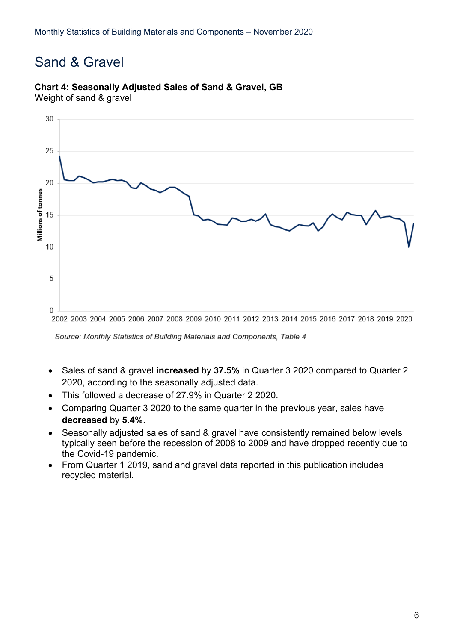### <span id="page-5-0"></span>Sand & Gravel

## 30 25 20 Millions of tonnes 15  $10$ 5  $\overline{0}$ 2002 2003 2004 2005 2006 2007 2008 2009 2010 2011 2012 2013 2014 2015 2016 2017 2018 2019 2020

### **Chart 4: Seasonally Adjusted Sales of Sand & Gravel, GB**

Weight of sand & gravel

- Sales of sand & gravel **increased** by **37.5%** in Quarter 3 2020 compared to Quarter 2 2020, according to the seasonally adjusted data.
- This followed a decrease of 27.9% in Quarter 2 2020.
- Comparing Quarter 3 2020 to the same quarter in the previous year, sales have **decreased** by **5.4%**.
- Seasonally adjusted sales of sand & gravel have consistently remained below levels typically seen before the recession of 2008 to 2009 and have dropped recently due to the Covid-19 pandemic.
- From Quarter 1 2019, sand and gravel data reported in this publication includes recycled material.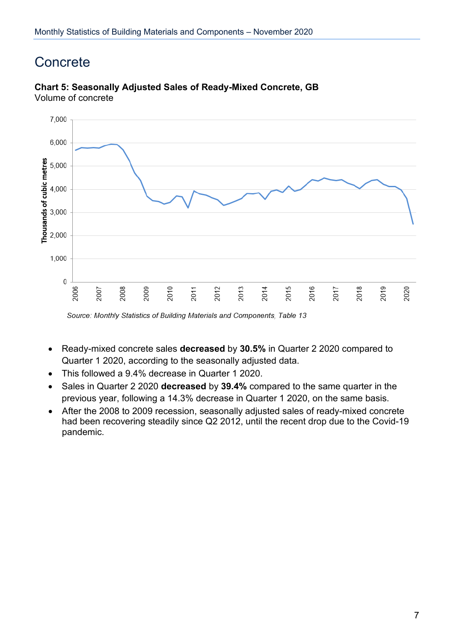### <span id="page-6-0"></span>**Concrete**



#### **Chart 5: Seasonally Adjusted Sales of Ready-Mixed Concrete, GB** Volume of concrete

- Ready-mixed concrete sales **decreased** by **30.5%** in Quarter 2 2020 compared to Quarter 1 2020, according to the seasonally adjusted data.
- This followed a 9.4% decrease in Quarter 1 2020.
- Sales in Quarter 2 2020 **decreased** by **39.4%** compared to the same quarter in the previous year, following a 14.3% decrease in Quarter 1 2020, on the same basis.
- After the 2008 to 2009 recession, seasonally adjusted sales of ready-mixed concrete had been recovering steadily since Q2 2012, until the recent drop due to the Covid-19 pandemic.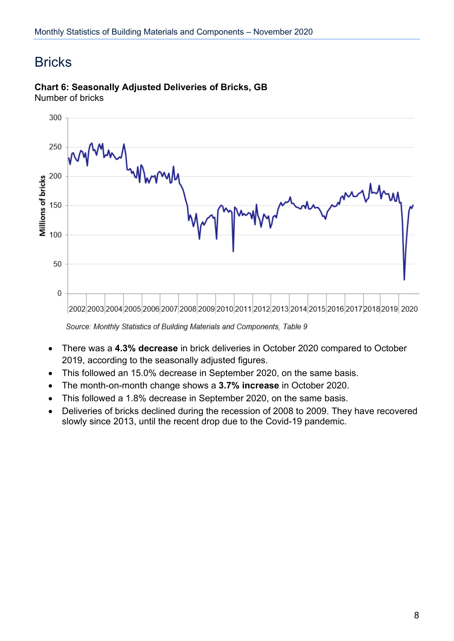### <span id="page-7-0"></span>**Bricks**



#### **Chart 6: Seasonally Adjusted Deliveries of Bricks, GB** Number of bricks

- There was a **4.3% decrease** in brick deliveries in October 2020 compared to October 2019, according to the seasonally adjusted figures.
- This followed an 15.0% decrease in September 2020, on the same basis.
- The month-on-month change shows a **3.7% increase** in October 2020.
- This followed a 1.8% decrease in September 2020, on the same basis.
- Deliveries of bricks declined during the recession of 2008 to 2009. They have recovered slowly since 2013, until the recent drop due to the Covid-19 pandemic.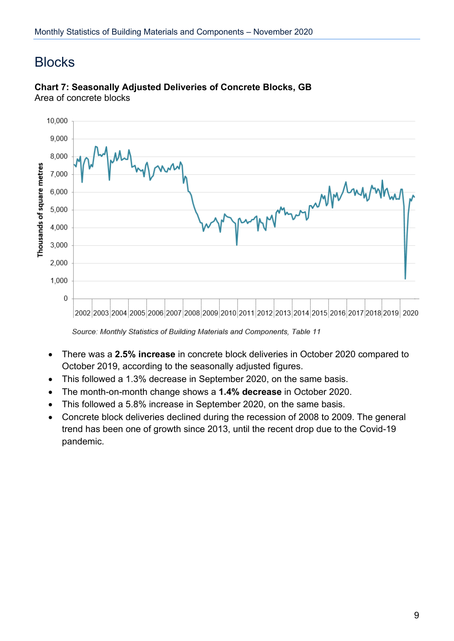### <span id="page-8-0"></span>**Blocks**



#### **Chart 7: Seasonally Adjusted Deliveries of Concrete Blocks, GB** Area of concrete blocks

- There was a **2.5% increase** in concrete block deliveries in October 2020 compared to October 2019, according to the seasonally adjusted figures.
- This followed a 1.3% decrease in September 2020, on the same basis.
- The month-on-month change shows a **1.4% decrease** in October 2020.
- This followed a 5.8% increase in September 2020, on the same basis.
- Concrete block deliveries declined during the recession of 2008 to 2009. The general trend has been one of growth since 2013, until the recent drop due to the Covid-19 pandemic.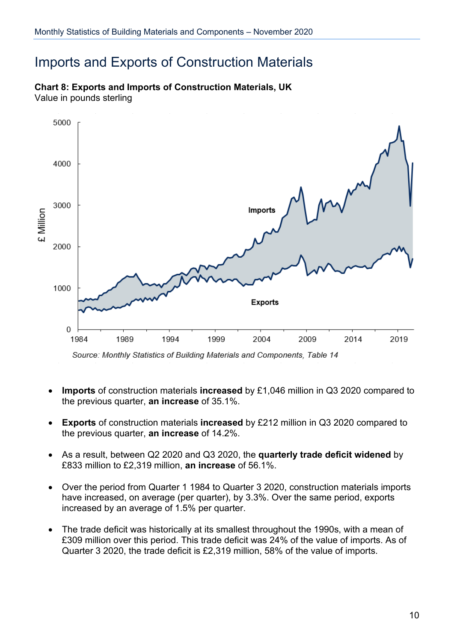### <span id="page-9-0"></span>Imports and Exports of Construction Materials

### 5000 4000 3000 Imports E Million 2000 1000 **Exports**  $\overline{0}$ 1984 1989 1994 1999 2004 2009 2014 2019

**Chart 8: Exports and Imports of Construction Materials, UK**  Value in pounds sterling

- **Imports** of construction materials **increased** by £1,046 million in Q3 2020 compared to the previous quarter, **an increase** of 35.1%.
- **Exports** of construction materials **increased** by £212 million in Q3 2020 compared to the previous quarter, **an increase** of 14.2%.
- As a result, between Q2 2020 and Q3 2020, the **quarterly trade deficit widened** by £833 million to £2,319 million, **an increase** of 56.1%.
- Over the period from Quarter 1 1984 to Quarter 3 2020, construction materials imports have increased, on average (per quarter), by 3.3%. Over the same period, exports increased by an average of 1.5% per quarter.
- The trade deficit was historically at its smallest throughout the 1990s, with a mean of £309 million over this period. This trade deficit was 24% of the value of imports. As of Quarter 3 2020, the trade deficit is £2,319 million, 58% of the value of imports.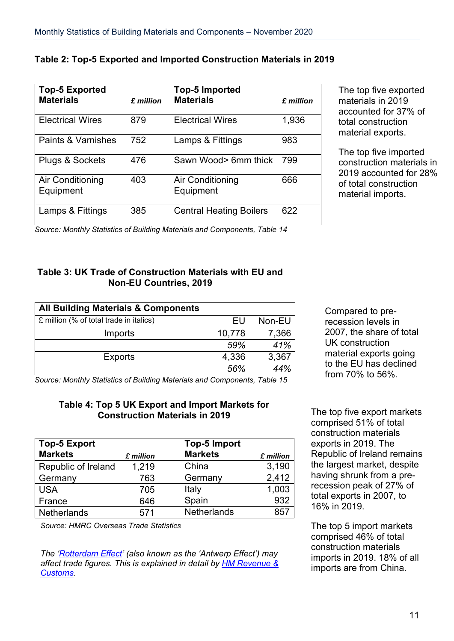| <b>Top-5 Exported</b>         |           | <b>Top-5 Imported</b>          |           |
|-------------------------------|-----------|--------------------------------|-----------|
| <b>Materials</b>              | £ million | <b>Materials</b>               | £ million |
| <b>Electrical Wires</b>       | 879       | <b>Electrical Wires</b>        | 1,936     |
| Paints & Varnishes            | 752       | Lamps & Fittings               | 983       |
| Plugs & Sockets               | 476       | Sawn Wood> 6mm thick           | 799       |
| Air Conditioning<br>Equipment | 403       | Air Conditioning<br>Equipment  | 666       |
| Lamps & Fittings              | 385       | <b>Central Heating Boilers</b> | 622       |

#### **Table 2: Top-5 Exported and Imported Construction Materials in 2019**

The top five exported materials in 2019 accounted for 37% of total construction material exports.

The top five imported construction materials in 2019 accounted for 28% of total construction material imports.

*Source: Monthly Statistics of Building Materials and Components, Table 14*

#### **Table 3: UK Trade of Construction Materials with EU and Non-EU Countries, 2019**

| <b>All Building Materials &amp; Components</b> |        |        |
|------------------------------------------------|--------|--------|
| £ million (% of total trade in italics)        | FU     | Non-EU |
| Imports                                        | 10,778 | 7,366  |
|                                                | 59%    | 41%    |
| <b>Exports</b>                                 | 4,336  | 3,367  |
|                                                | 56%    | 44%    |

Compared to prerecession levels in 2007, the share of total UK construction material exports going to the EU has declined from 70% to 56%.

*Source: Monthly Statistics of Building Materials and Components, Table 15*

#### **Table 4: Top 5 UK Export and Import Markets for Construction Materials in 2019** The top five export markets

| <b>Top-5 Export</b> |           | Top-5 Import       |           |
|---------------------|-----------|--------------------|-----------|
| <b>Markets</b>      | £ million | <b>Markets</b>     | £ million |
| Republic of Ireland | 1,219     | China              | 3,190     |
| Germany             | 763       | Germany            | 2,412     |
| <b>USA</b>          | 705       | Italy              | 1,003     |
| France              | 646       | Spain              | 932       |
| <b>Netherlands</b>  | 571       | <b>Netherlands</b> | 857       |

*Source: HMRC Overseas Trade Statistics* 

*The ['Rotterdam Effect'](http://www.publications.parliament.uk/pa/ld200708/ldhansrd/text/81126w0010.htm#81126w0010.htm_spnew6) (also known as the 'Antwerp Effect') may affect trade figures. This is explained in detail by [HM Revenue &](https://www.uktradeinfo.com/statistics/noneuoverseastrade/aboutoverseastradestatistics/user%20support/edicom_rotterdam_effect_2005.pdf)  [Customs.](https://www.uktradeinfo.com/statistics/noneuoverseastrade/aboutoverseastradestatistics/user%20support/edicom_rotterdam_effect_2005.pdf)*

comprised 51% of total construction materials exports in 2019. The Republic of Ireland remains the largest market, despite having shrunk from a prerecession peak of 27% of total exports in 2007, to 16% in 2019.

The top 5 import markets comprised 46% of total construction materials imports in 2019. 18% of all imports are from China.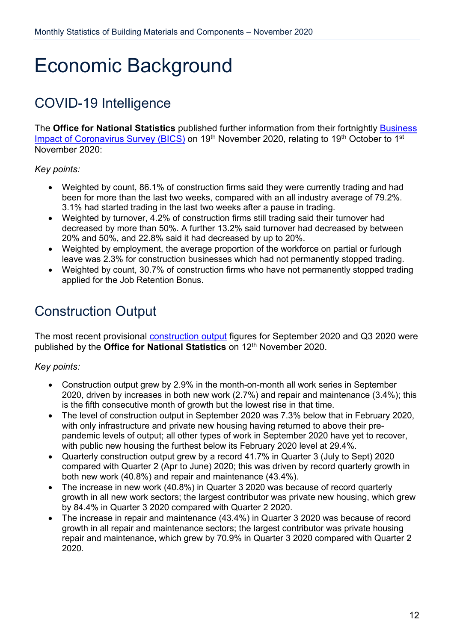## <span id="page-11-0"></span>Economic Background

### <span id="page-11-1"></span>COVID-19 Intelligence

The **Office for National Statistics** published further information from their fortnightly [Business](https://www.ons.gov.uk/economy/economicoutputandproductivity/output/datasets/businessimpactofcovid19surveybicsresults)  [Impact of Coronavirus Survey \(BICS\)](https://www.ons.gov.uk/economy/economicoutputandproductivity/output/datasets/businessimpactofcovid19surveybicsresults) on 19<sup>th</sup> November 2020, relating to 19<sup>th</sup> October to 1<sup>st</sup> November 2020:

*Key points:*

- Weighted by count, 86.1% of construction firms said they were currently trading and had been for more than the last two weeks, compared with an all industry average of 79.2%. 3.1% had started trading in the last two weeks after a pause in trading.
- Weighted by turnover, 4.2% of construction firms still trading said their turnover had decreased by more than 50%. A further 13.2% said turnover had decreased by between 20% and 50%, and 22.8% said it had decreased by up to 20%.
- Weighted by employment, the average proportion of the workforce on partial or furlough leave was 2.3% for construction businesses which had not permanently stopped trading.
- Weighted by count, 30.7% of construction firms who have not permanently stopped trading applied for the Job Retention Bonus.

## <span id="page-11-2"></span>Construction Output

The most recent provisional **[construction output](https://www.ons.gov.uk/businessindustryandtrade/constructionindustry/bulletins/constructionoutputingreatbritain/september2020newordersandconstructionoutputpriceindicesjulytoseptember2020)** figures for September 2020 and Q3 2020 were published by the **Office for National Statistics** on 12<sup>th</sup> November 2020.

#### *Key points:*

- Construction output grew by 2.9% in the month-on-month all work series in September 2020, driven by increases in both new work (2.7%) and repair and maintenance (3.4%); this is the fifth consecutive month of growth but the lowest rise in that time.
- The level of construction output in September 2020 was 7.3% below that in February 2020, with only infrastructure and private new housing having returned to above their prepandemic levels of output; all other types of work in September 2020 have yet to recover, with public new housing the furthest below its February 2020 level at 29.4%.
- Quarterly construction output grew by a record 41.7% in Quarter 3 (July to Sept) 2020 compared with Quarter 2 (Apr to June) 2020; this was driven by record quarterly growth in both new work (40.8%) and repair and maintenance (43.4%).
- The increase in new work (40.8%) in Quarter 3 2020 was because of record quarterly growth in all new work sectors; the largest contributor was private new housing, which grew by 84.4% in Quarter 3 2020 compared with Quarter 2 2020.
- The increase in repair and maintenance (43.4%) in Quarter 3 2020 was because of record growth in all repair and maintenance sectors; the largest contributor was private housing repair and maintenance, which grew by 70.9% in Quarter 3 2020 compared with Quarter 2 2020.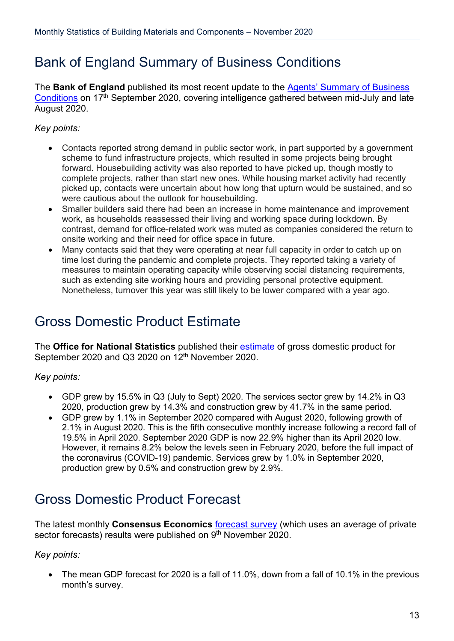### <span id="page-12-0"></span>Bank of England Summary of Business Conditions

The **Bank of England** published its most recent update to the [Agents' Summary of Business](https://www.bankofengland.co.uk/agents-summary/2020/2020-q3)  [Conditions](https://www.bankofengland.co.uk/agents-summary/2020/2020-q3) on 17<sup>th</sup> September 2020, covering intelligence gathered between mid-July and late August 2020.

#### *Key points:*

- Contacts reported strong demand in public sector work, in part supported by a government scheme to fund infrastructure projects, which resulted in some projects being brought forward. Housebuilding activity was also reported to have picked up, though mostly to complete projects, rather than start new ones. While housing market activity had recently picked up, contacts were uncertain about how long that upturn would be sustained, and so were cautious about the outlook for housebuilding.
- Smaller builders said there had been an increase in home maintenance and improvement work, as households reassessed their living and working space during lockdown. By contrast, demand for office-related work was muted as companies considered the return to onsite working and their need for office space in future.
- Many contacts said that they were operating at near full capacity in order to catch up on time lost during the pandemic and complete projects. They reported taking a variety of measures to maintain operating capacity while observing social distancing requirements, such as extending site working hours and providing personal protective equipment. Nonetheless, turnover this year was still likely to be lower compared with a year ago.

### <span id="page-12-1"></span>Gross Domestic Product Estimate

The **Office for National Statistics** published their [estimate](https://www.ons.gov.uk/economy/grossdomesticproductgdp/bulletins/gdpmonthlyestimateuk/september2020) of gross domestic product for September 2020 and  $Q3$  2020 on  $12<sup>th</sup>$  November 2020.

*Key points:*

- <span id="page-12-2"></span>• GDP grew by 15.5% in Q3 (July to Sept) 2020. The services sector grew by 14.2% in Q3 2020, production grew by 14.3% and construction grew by 41.7% in the same period.
- GDP grew by 1.1% in September 2020 compared with August 2020, following growth of 2.1% in August 2020. This is the fifth consecutive monthly increase following a record fall of 19.5% in April 2020. September 2020 GDP is now 22.9% higher than its April 2020 low. However, it remains 8.2% below the levels seen in February 2020, before the full impact of the coronavirus (COVID-19) pandemic. Services grew by 1.0% in September 2020, production grew by 0.5% and construction grew by 2.9%.

### Gross Domestic Product Forecast

The latest monthly **Consensus Economics** [forecast survey](http://www.consensuseconomics.com/download/G7_Economic_Forecasts.htm) (which uses an average of private sector forecasts) results were published on 9<sup>th</sup> November 2020.

*Key points:*

• The mean GDP forecast for 2020 is a fall of 11.0%, down from a fall of 10.1% in the previous month's survey.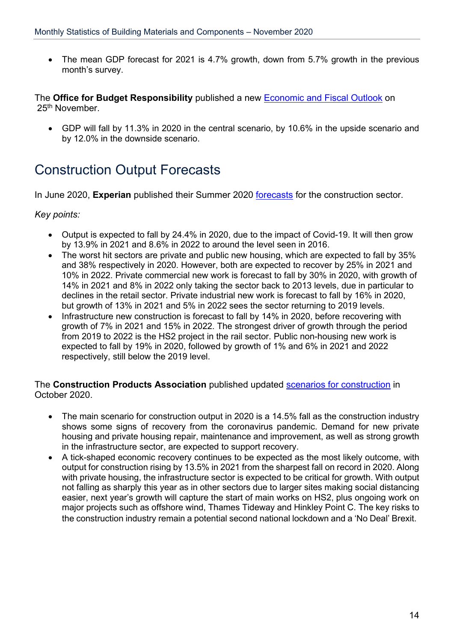• The mean GDP forecast for 2021 is 4.7% growth, down from 5.7% growth in the previous month's survey.

The **Office for Budget Responsibility** published a new [Economic and Fiscal Outlook](https://obr.uk/download/economic-and-fiscal-outlook-november-2020/) on 25<sup>th</sup> November.

• GDP will fall by 11.3% in 2020 in the central scenario, by 10.6% in the upside scenario and by 12.0% in the downside scenario.

### <span id="page-13-0"></span>Construction Output Forecasts

In June 2020, **Experian** published their Summer 2020 [forecasts](http://www.experian.co.uk/economics/economic-forecasts/uk-construction-forecast.html) for the construction sector.

#### *Key points:*

- Output is expected to fall by 24.4% in 2020, due to the impact of Covid-19. It will then grow by 13.9% in 2021 and 8.6% in 2022 to around the level seen in 2016.
- The worst hit sectors are private and public new housing, which are expected to fall by 35% and 38% respectively in 2020. However, both are expected to recover by 25% in 2021 and 10% in 2022. Private commercial new work is forecast to fall by 30% in 2020, with growth of 14% in 2021 and 8% in 2022 only taking the sector back to 2013 levels, due in particular to declines in the retail sector. Private industrial new work is forecast to fall by 16% in 2020, but growth of 13% in 2021 and 5% in 2022 sees the sector returning to 2019 levels.
- Infrastructure new construction is forecast to fall by 14% in 2020, before recovering with growth of 7% in 2021 and 15% in 2022. The strongest driver of growth through the period from 2019 to 2022 is the HS2 project in the rail sector. Public non-housing new work is expected to fall by 19% in 2020, followed by growth of 1% and 6% in 2021 and 2022 respectively, still below the 2019 level.

#### The **Construction Products Association** published updated [scenarios for construction](https://www.constructionproducts.org.uk/news-media-events/news/2020/october/crucial-winter-ahead-for-construction-according-to-the-cpa-s-latest-scenarios/) in October 2020.

- The main scenario for construction output in 2020 is a 14.5% fall as the construction industry shows some signs of recovery from the coronavirus pandemic. Demand for new private housing and private housing repair, maintenance and improvement, as well as strong growth in the infrastructure sector, are expected to support recovery.
- A tick-shaped economic recovery continues to be expected as the most likely outcome, with output for construction rising by 13.5% in 2021 from the sharpest fall on record in 2020. Along with private housing, the infrastructure sector is expected to be critical for growth. With output not falling as sharply this year as in other sectors due to larger sites making social distancing easier, next year's growth will capture the start of main works on HS2, plus ongoing work on major projects such as offshore wind, Thames Tideway and Hinkley Point C. The key risks to the construction industry remain a potential second national lockdown and a 'No Deal' Brexit.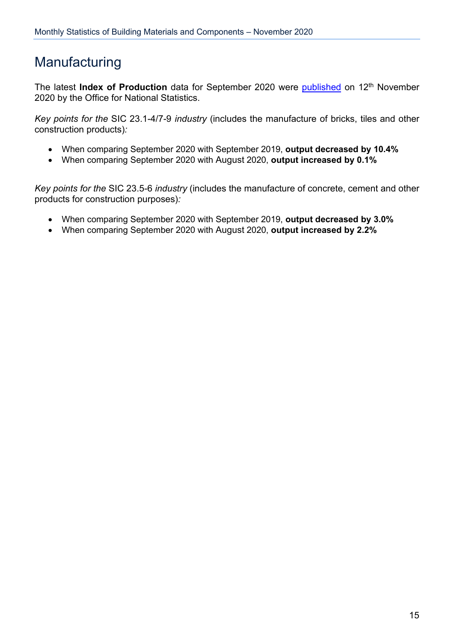### <span id="page-14-0"></span>**Manufacturing**

The latest **Index of Production** data for September 2020 were [published](https://www.ons.gov.uk/economy/economicoutputandproductivity/output/bulletins/indexofproduction/september2020) on 12<sup>th</sup> November 2020 by the Office for National Statistics.

*Key points for the* SIC 23.1-4/7-9 *industry* (includes the manufacture of bricks, tiles and other construction products)*:*

- When comparing September 2020 with September 2019, **output decreased by 10.4%**
- When comparing September 2020 with August 2020, **output increased by 0.1%**

*Key points for the* SIC 23.5-6 *industry* (includes the manufacture of concrete, cement and other products for construction purposes)*:*

- When comparing September 2020 with September 2019, **output decreased by 3.0%**
- When comparing September 2020 with August 2020, **output increased by 2.2%**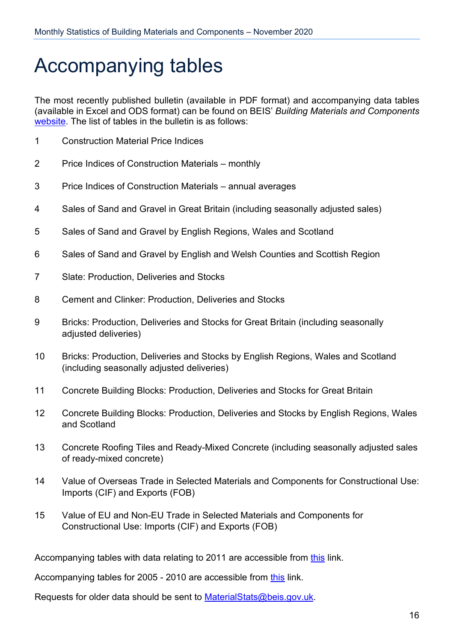## <span id="page-15-0"></span>Accompanying tables

The most recently published bulletin (available in PDF format) and accompanying data tables (available in Excel and ODS format) can be found on BEIS' *Building Materials and Components* [website.](https://www.gov.uk/government/organisations/department-for-business-innovation-skills/series/building-materials-and-components-monthly-statistics-2012) The list of tables in the bulletin is as follows:

- 1 Construction Material Price Indices
- 2 Price Indices of Construction Materials monthly
- 3 Price Indices of Construction Materials annual averages
- 4 Sales of Sand and Gravel in Great Britain (including seasonally adjusted sales)
- 5 Sales of Sand and Gravel by English Regions, Wales and Scotland
- 6 Sales of Sand and Gravel by English and Welsh Counties and Scottish Region
- 7 Slate: Production, Deliveries and Stocks
- 8 Cement and Clinker: Production, Deliveries and Stocks
- 9 Bricks: Production, Deliveries and Stocks for Great Britain (including seasonally adjusted deliveries)
- 10 Bricks: Production, Deliveries and Stocks by English Regions, Wales and Scotland (including seasonally adjusted deliveries)
- 11 Concrete Building Blocks: Production, Deliveries and Stocks for Great Britain
- 12 Concrete Building Blocks: Production, Deliveries and Stocks by English Regions, Wales and Scotland
- 13 Concrete Roofing Tiles and Ready-Mixed Concrete (including seasonally adjusted sales of ready-mixed concrete)
- 14 Value of Overseas Trade in Selected Materials and Components for Constructional Use: Imports (CIF) and Exports (FOB)
- 15 Value of EU and Non-EU Trade in Selected Materials and Components for Constructional Use: Imports (CIF) and Exports (FOB)

Accompanying tables with data relating to 2011 are accessible from [this](https://webarchive.nationalarchives.gov.uk/20120717004736/http:/www.bis.gov.uk/analysis/statistics/construction-statistics/building-materials/building-materials-2011-archive) link.

Accompanying tables for 2005 - 2010 are accessible from [this](http://webarchive.nationalarchives.gov.uk/20110920151722/http:/stats.bis.gov.uk/construction/building/archive.htm) link.

Requests for older data should be sent to **MaterialStats@beis.gov.uk.**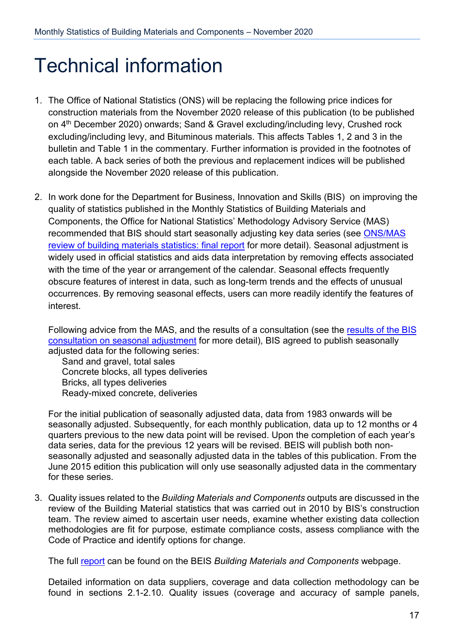## <span id="page-16-0"></span>Technical information

- 1. The Office of National Statistics (ONS) will be replacing the following price indices for construction materials from the November 2020 release of this publication (to be published on 4<sup>th</sup> December 2020) onwards; Sand & Gravel excluding/including levy, Crushed rock excluding/including levy, and Bituminous materials. This affects Tables 1, 2 and 3 in the bulletin and Table 1 in the commentary. Further information is provided in the footnotes of each table. A back series of both the previous and replacement indices will be published alongside the November 2020 release of this publication.
- 2. In work done for the Department for Business, Innovation and Skills (BIS) on improving the quality of statistics published in the Monthly Statistics of Building Materials and Components, the Office for National Statistics' Methodology Advisory Service (MAS) recommended that BIS should start seasonally adjusting key data series (see [ONS/MAS](https://www.gov.uk/government/publications/ons-mas-review-of-building-materials-statistics)  [review of building materials statistics: final report](https://www.gov.uk/government/publications/ons-mas-review-of-building-materials-statistics) for more detail). Seasonal adjustment is widely used in official statistics and aids data interpretation by removing effects associated with the time of the year or arrangement of the calendar. Seasonal effects frequently obscure features of interest in data, such as long-term trends and the effects of unusual occurrences. By removing seasonal effects, users can more readily identify the features of interest.

Following advice from the MAS, and the results of a consultation (see the results of the BIS [consultation on seasonal adjustment](https://www.gov.uk/government/consultations/building-materials-and-components-monthly-statistics-seasonal-data-adjustment) for more detail), BIS agreed to publish seasonally adjusted data for the following series:

Sand and gravel, total sales Concrete blocks, all types deliveries Bricks, all types deliveries Ready-mixed concrete, deliveries

For the initial publication of seasonally adjusted data, data from 1983 onwards will be seasonally adjusted. Subsequently, for each monthly publication, data up to 12 months or 4 quarters previous to the new data point will be revised. Upon the completion of each year's data series, data for the previous 12 years will be revised. BEIS will publish both nonseasonally adjusted and seasonally adjusted data in the tables of this publication. From the June 2015 edition this publication will only use seasonally adjusted data in the commentary for these series.

3. Quality issues related to the *Building Materials and Components* outputs are discussed in the review of the Building Material statistics that was carried out in 2010 by BIS's construction team. The review aimed to ascertain user needs, examine whether existing data collection methodologies are fit for purpose, estimate compliance costs, assess compliance with the Code of Practice and identify options for change.

The full [report](https://www.gov.uk/government/publications/building-materials-statistics-review-final-report) can be found on the BEIS *Building Materials and Components* webpage.

Detailed information on data suppliers, coverage and data collection methodology can be found in sections 2.1-2.10. Quality issues (coverage and accuracy of sample panels,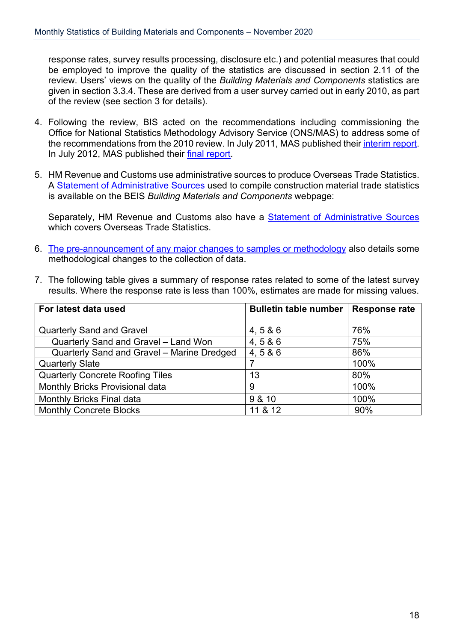response rates, survey results processing, disclosure etc.) and potential measures that could be employed to improve the quality of the statistics are discussed in section 2.11 of the review. Users' views on the quality of the *Building Materials and Components* statistics are given in section 3.3.4. These are derived from a user survey carried out in early 2010, as part of the review (see section 3 for details).

- 4. Following the review, BIS acted on the recommendations including commissioning the Office for National Statistics Methodology Advisory Service (ONS/MAS) to address some of the recommendations from the 2010 review. In July 2011, MAS published their [interim report.](https://www.gov.uk/government/publications/ons-mas-review-of-building-materials-statistics) In July 2012, MAS published their [final report.](https://www.gov.uk/government/publications/ons-mas-review-of-building-materials-statistics)
- 5. HM Revenue and Customs use administrative sources to produce Overseas Trade Statistics. A [Statement of Administrative Sources](https://www.gov.uk/government/publications/building-materials-statistics-administrative-sources) used to compile construction material trade statistics is available on the BEIS *Building Materials and Components* webpage:

Separately, HM Revenue and Customs also have a **Statement of Administrative Sources** which covers Overseas Trade Statistics.

- 6. [The pre-announcement of any major changes to samples or methodology](https://www.gov.uk/government/publications/amendments-to-building-materials-and-components-monthly-statistics) also details some methodological changes to the collection of data.
- 7. The following table gives a summary of response rates related to some of the latest survey results. Where the response rate is less than 100%, estimates are made for missing values.

| For latest data used                       | <b>Bulletin table number</b> | <b>Response rate</b> |
|--------------------------------------------|------------------------------|----------------------|
|                                            |                              |                      |
| <b>Quarterly Sand and Gravel</b>           | 4, 586                       | 76%                  |
| Quarterly Sand and Gravel - Land Won       | 4, 586                       | 75%                  |
| Quarterly Sand and Gravel - Marine Dredged | 4,5 & 6                      | 86%                  |
| <b>Quarterly Slate</b>                     |                              | 100%                 |
| <b>Quarterly Concrete Roofing Tiles</b>    | 13                           | 80%                  |
| Monthly Bricks Provisional data            | 9                            | 100%                 |
| <b>Monthly Bricks Final data</b>           | 9 & 10                       | 100%                 |
| <b>Monthly Concrete Blocks</b>             | 11 & 12                      | 90%                  |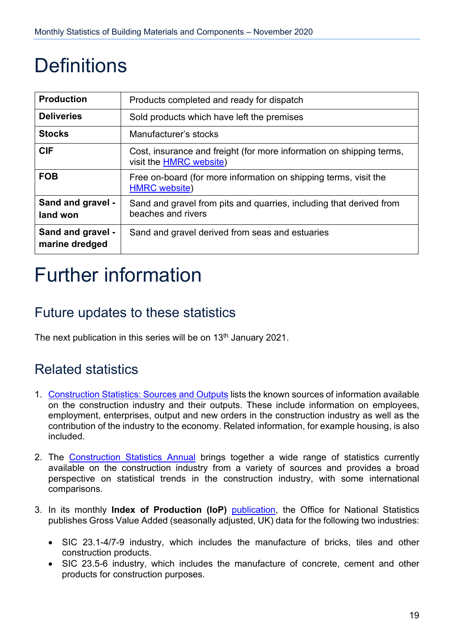## <span id="page-18-0"></span>**Definitions**

| <b>Production</b>                   | Products completed and ready for dispatch                                                              |
|-------------------------------------|--------------------------------------------------------------------------------------------------------|
| <b>Deliveries</b>                   | Sold products which have left the premises                                                             |
| <b>Stocks</b>                       | Manufacturer's stocks                                                                                  |
| <b>CIF</b>                          | Cost, insurance and freight (for more information on shipping terms,<br>visit the <b>HMRC</b> website) |
| <b>FOB</b>                          | Free on-board (for more information on shipping terms, visit the<br><b>HMRC</b> website)               |
| Sand and gravel -<br>land won       | Sand and gravel from pits and quarries, including that derived from<br>beaches and rivers              |
| Sand and gravel -<br>marine dredged | Sand and gravel derived from seas and estuaries                                                        |

## <span id="page-18-1"></span>Further information

### <span id="page-18-2"></span>Future updates to these statistics

The next publication in this series will be on 13<sup>th</sup> January 2021.

### <span id="page-18-3"></span>Related statistics

- 1. [Construction Statistics: Sources and Outputs](http://www.ons.gov.uk/ons/rel/construction/construction-statistics/construction-statistics--sources-and-outputs/construction-stats--sources-and-outputs.pdf) lists the known sources of information available on the construction industry and their outputs. These include information on employees, employment, enterprises, output and new orders in the construction industry as well as the contribution of the industry to the economy. Related information, for example housing, is also included.
- 2. The [Construction Statistics Annual](http://www.ons.gov.uk/ons/publications/all-releases.html?definition=tcm%3A77-21528) brings together a wide range of statistics currently available on the construction industry from a variety of sources and provides a broad perspective on statistical trends in the construction industry, with some international comparisons.
- 3. In its monthly **Index of Production (IoP)** [publication,](http://www.ons.gov.uk/ons/rel/iop/index-of-production/index.html) the Office for National Statistics publishes Gross Value Added (seasonally adjusted, UK) data for the following two industries:
	- SIC 23.1-4/7-9 industry, which includes the manufacture of bricks, tiles and other construction products.
	- SIC 23.5-6 industry, which includes the manufacture of concrete, cement and other products for construction purposes.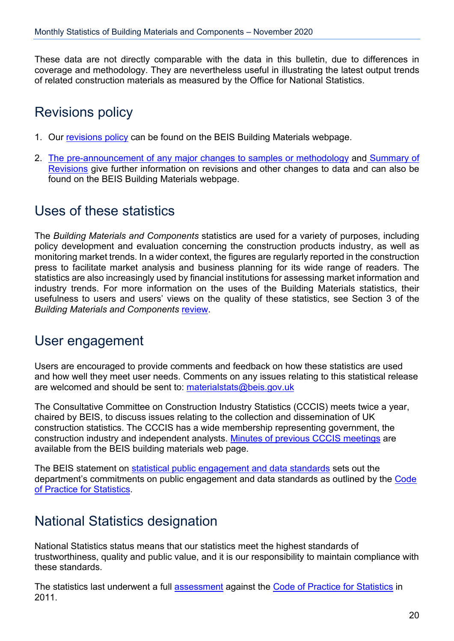These data are not directly comparable with the data in this bulletin, due to differences in coverage and methodology. They are nevertheless useful in illustrating the latest output trends of related construction materials as measured by the Office for National Statistics.

### <span id="page-19-0"></span>Revisions policy

- 1. Our [revisions policy](https://www.gov.uk/government/publications/building-materials-statistics-revisions-policy) can be found on the BEIS Building Materials webpage.
- 2. [The pre-announcement of any major changes to samples or methodology](https://www.gov.uk/government/publications/amendments-to-building-materials-and-components-monthly-statistics) and [Summary of](https://www.gov.uk/government/publications/revisions-to-building-materials-statistics-since-december-2011-summary)  [Revisions](https://www.gov.uk/government/publications/revisions-to-building-materials-statistics-since-december-2011-summary) give further information on revisions and other changes to data and can also be found on the BEIS Building Materials webpage.

### <span id="page-19-1"></span>Uses of these statistics

The *Building Materials and Components* statistics are used for a variety of purposes, including policy development and evaluation concerning the construction products industry, as well as monitoring market trends. In a wider context, the figures are regularly reported in the construction press to facilitate market analysis and business planning for its wide range of readers. The statistics are also increasingly used by financial institutions for assessing market information and industry trends. For more information on the uses of the Building Materials statistics, their usefulness to users and users' views on the quality of these statistics, see Section 3 of the *Building Materials and Components* [review.](https://www.gov.uk/government/publications/building-materials-statistics-review-final-report)

### <span id="page-19-2"></span>User engagement

Users are encouraged to provide comments and feedback on how these statistics are used and how well they meet user needs. Comments on any issues relating to this statistical release are welcomed and should be sent to: [materialstats@beis.gov.uk](mailto:materialstats@beis.gov.uk)

The Consultative Committee on Construction Industry Statistics (CCCIS) meets twice a year, chaired by BEIS, to discuss issues relating to the collection and dissemination of UK construction statistics. The CCCIS has a wide membership representing government, the construction industry and independent analysts. [Minutes of previous CCCIS meetings](https://www.gov.uk/government/publications/cccis) are available from the BEIS building materials web page.

The BEIS statement on [statistical public engagement and data standards](https://www.gov.uk/government/publications/beis-standards-for-official-statistics/statistical-public-engagement-and-data-standards) sets out the department's commitments on public engagement and data standards as outlined by the Code [of Practice for Statistics.](https://www.statisticsauthority.gov.uk/code-of-practice/)

### <span id="page-19-3"></span>National Statistics designation

National Statistics status means that our statistics meet the highest standards of trustworthiness, quality and public value, and it is our responsibility to maintain compliance with these standards.

The statistics last underwent a full [assessment](https://www.statisticsauthority.gov.uk/wp-content/uploads/2015/12/images-assessmentreport168statisticsonbuildingmaterialsandcomponent_tcm97-41328.pdf) against the [Code of Practice for Statistics](https://www.statisticsauthority.gov.uk/code-of-practice/) in 2011.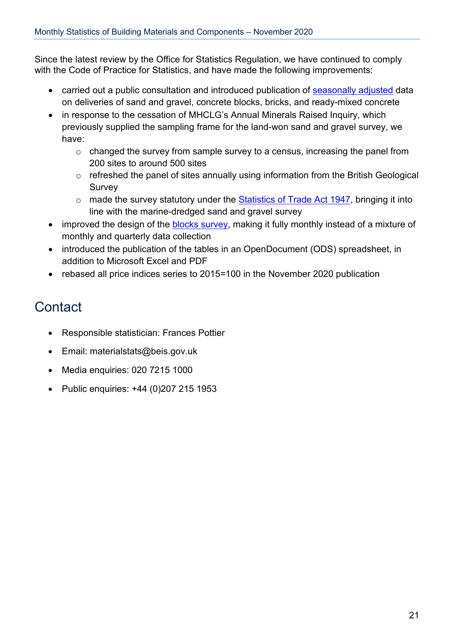Since the latest review by the Office for Statistics Regulation, we have continued to comply with the Code of Practice for Statistics, and have made the following improvements:

- carried out a public consultation and introduced publication of [seasonally adjusted](https://www.gov.uk/government/consultations/building-materials-and-components-monthly-statistics-seasonal-data-adjustment) data on deliveries of sand and gravel, concrete blocks, bricks, and ready-mixed concrete
- in response to the cessation of MHCLG's Annual Minerals Raised Inquiry, which previously supplied the sampling frame for the land-won sand and gravel survey, we have:
	- o changed the survey from sample survey to a census, increasing the panel from 200 sites to around 500 sites
	- o refreshed the panel of sites annually using information from the British Geological Survey
	- o made the survey statutory under the [Statistics of Trade Act 1947,](http://www.legislation.gov.uk/ukpga/Geo6/10-11/39/contents) bringing it into line with the marine-dredged sand and gravel survey
- improved the design of the **blocks survey**, making it fully monthly instead of a mixture of monthly and quarterly data collection
- introduced the publication of the tables in an OpenDocument (ODS) spreadsheet, in addition to Microsoft Excel and PDF
- rebased all price indices series to 2015=100 in the November 2020 publication

### <span id="page-20-0"></span>**Contact**

- Responsible statistician: Frances Pottier
- Email: materialstats@beis.gov.uk
- Media enquiries: 020 7215 1000
- Public enquiries: +44 (0)207 215 1953